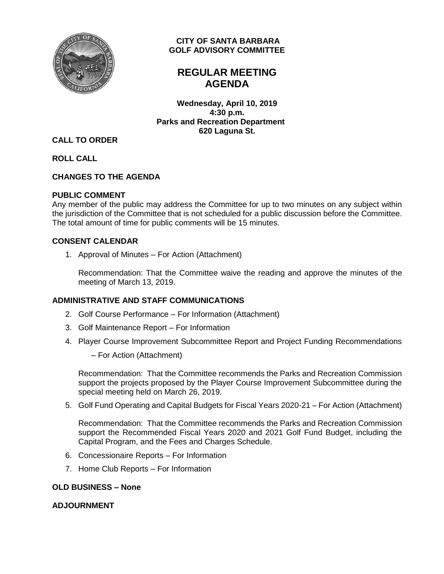

## **CITY OF SANTA BARBARA GOLF ADVISORY COMMITTEE**

# **REGULAR MEETING AGENDA**

**Wednesday, April 10, 2019 4:30 p.m. Parks and Recreation Department 620 Laguna St.**

## **CALL TO ORDER**

**ROLL CALL**

## **CHANGES TO THE AGENDA**

#### **PUBLIC COMMENT**

Any member of the public may address the Committee for up to two minutes on any subject within the jurisdiction of the Committee that is not scheduled for a public discussion before the Committee. The total amount of time for public comments will be 15 minutes.

### **CONSENT CALENDAR**

1. Approval of Minutes – For Action (Attachment)

Recommendation: That the Committee waive the reading and approve the minutes of the meeting of March 13, 2019.

## **ADMINISTRATIVE AND STAFF COMMUNICATIONS**

- 2. Golf Course Performance For Information (Attachment)
- 3. Golf Maintenance Report For Information
- 4. Player Course Improvement Subcommittee Report and Project Funding Recommendations
	- For Action (Attachment)

Recommendation: That the Committee recommends the Parks and Recreation Commission support the projects proposed by the Player Course Improvement Subcommittee during the special meeting held on March 26, 2019.

5. Golf Fund Operating and Capital Budgets for Fiscal Years 2020-21 – For Action (Attachment)

Recommendation: That the Committee recommends the Parks and Recreation Commission support the Recommended Fiscal Years 2020 and 2021 Golf Fund Budget, including the Capital Program, and the Fees and Charges Schedule.

- 6. Concessionaire Reports For Information
- 7. Home Club Reports For Information

#### **OLD BUSINESS – None**

## **ADJOURNMENT**